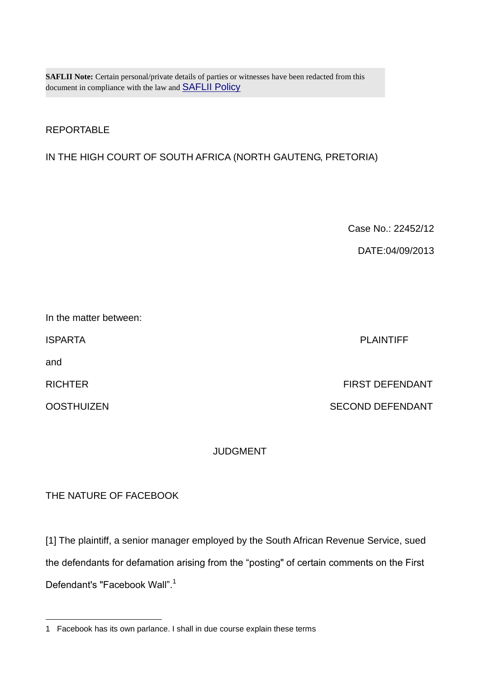**SAFLII Note:** Certain personal/private details of parties or witnesses have been redacted from this document in compliance with the law and [SAFLII Policy](http://www.saflii.org/content/terms-use)

## REPORTABLE

### IN THE HIGH COURT OF SOUTH AFRICA (NORTH GAUTENG, PRETORIA)

Case No.: 22452/12

DATE:04/09/2013

and

1

ISPARTA PLAINTIFF

RICHTER FIRST DEFENDANT

OOSTHUIZEN SECOND DEFENDANT

#### JUDGMENT

### THE NATURE OF FACEBOOK

[1] The plaintiff, a senior manager employed by the South African Revenue Service, sued the defendants for defamation arising from the "posting" of certain comments on the First Defendant's "Facebook Wall".<sup>1</sup>

<sup>1</sup> Facebook has its own parlance. I shall in due course explain these terms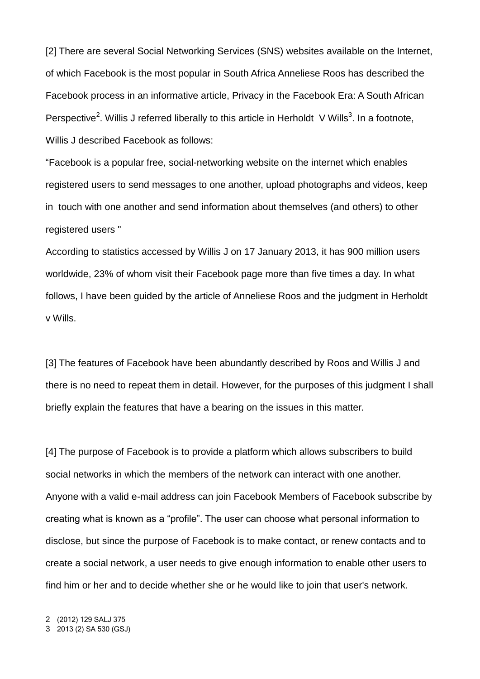[2] There are several Social Networking Services (SNS) websites available on the Internet, of which Facebook is the most popular in South Africa Anneliese Roos has described the Facebook process in an informative article, Privacy in the Facebook Era: A South African Perspective<sup>2</sup>. Willis J referred liberally to this article in Herholdt V Wills<sup>3</sup>. In a footnote, Willis J described Facebook as follows:

"Facebook is a popular free, social-networking website on the internet which enables registered users to send messages to one another, upload photographs and videos, keep in touch with one another and send information about themselves (and others) to other registered users "

According to statistics accessed by Willis J on 17 January 2013, it has 900 million users worldwide, 23% of whom visit their Facebook page more than five times a day. In what follows, I have been guided by the article of Anneliese Roos and the judgment in Herholdt v Wills.

[3] The features of Facebook have been abundantly described by Roos and Willis J and there is no need to repeat them in detail. However, for the purposes of this judgment I shall briefly explain the features that have a bearing on the issues in this matter.

[4] The purpose of Facebook is to provide a platform which allows subscribers to build social networks in which the members of the network can interact with one another. Anyone with a valid e-mail address can join Facebook Members of Facebook subscribe by creating what is known as a "profile". The user can choose what personal information to disclose, but since the purpose of Facebook is to make contact, or renew contacts and to create a social network, a user needs to give enough information to enable other users to find him or her and to decide whether she or he would like to join that user's network.

<u>.</u>

<sup>2</sup> (2012) 129 SALJ 375

<sup>3</sup> 2013 (2) SA 530 (GSJ)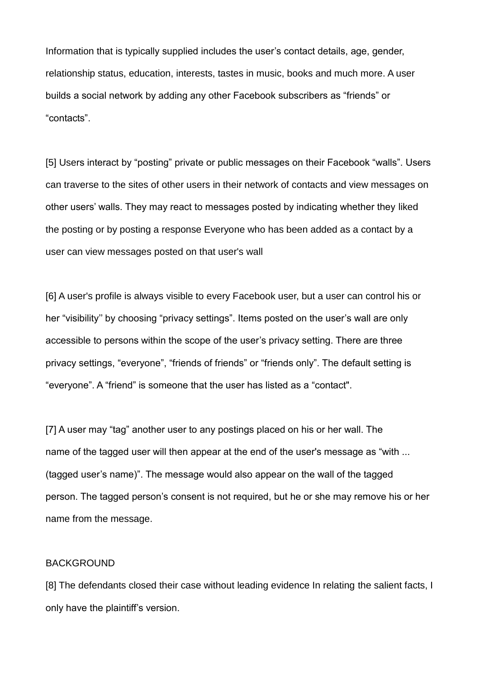Information that is typically supplied includes the user's contact details, age, gender, relationship status, education, interests, tastes in music, books and much more. A user builds a social network by adding any other Facebook subscribers as "friends" or "contacts".

[5] Users interact by "posting" private or public messages on their Facebook "walls". Users can traverse to the sites of other users in their network of contacts and view messages on other users' walls. They may react to messages posted by indicating whether they liked the posting or by posting a response Everyone who has been added as a contact by a user can view messages posted on that user's wall

[6] A user's profile is always visible to every Facebook user, but a user can control his or her "visibility'' by choosing "privacy settings". Items posted on the user's wall are only accessible to persons within the scope of the user's privacy setting. There are three privacy settings, "everyone", "friends of friends" or "friends only". The default setting is "everyone". A "friend" is someone that the user has listed as a "contact".

[7] A user may "tag" another user to any postings placed on his or her wall. The name of the tagged user will then appear at the end of the user's message as "with ... (tagged user's name)". The message would also appear on the wall of the tagged person. The tagged person's consent is not required, but he or she may remove his or her name from the message.

#### BACKGROUND

[8] The defendants closed their case without leading evidence In relating the salient facts, I only have the plaintiff's version.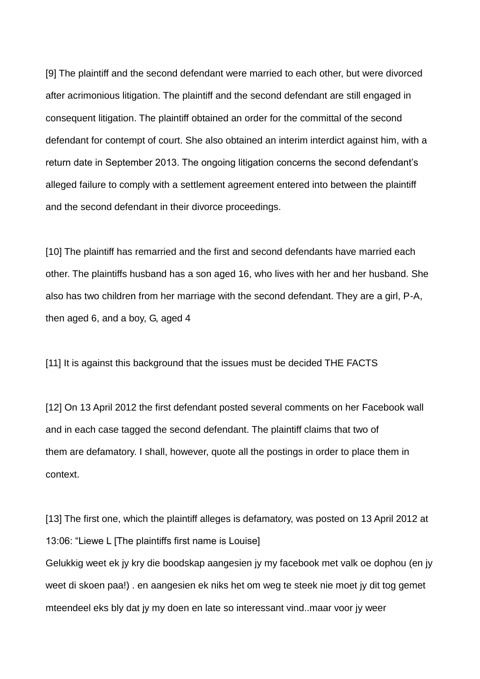[9] The plaintiff and the second defendant were married to each other, but were divorced after acrimonious litigation. The plaintiff and the second defendant are still engaged in consequent litigation. The plaintiff obtained an order for the committal of the second defendant for contempt of court. She also obtained an interim interdict against him, with a return date in September 2013. The ongoing litigation concerns the second defendant's alleged failure to comply with a settlement agreement entered into between the plaintiff and the second defendant in their divorce proceedings.

[10] The plaintiff has remarried and the first and second defendants have married each other. The plaintiffs husband has a son aged 16, who lives with her and her husband. She also has two children from her marriage with the second defendant. They are a girl, P-A, then aged 6, and a boy, G, aged 4

[11] It is against this background that the issues must be decided THE FACTS

[12] On 13 April 2012 the first defendant posted several comments on her Facebook wall and in each case tagged the second defendant. The plaintiff claims that two of them are defamatory. I shall, however, quote all the postings in order to place them in context.

[13] The first one, which the plaintiff alleges is defamatory, was posted on 13 April 2012 at 13:06: "Liewe L [The plaintiffs first name is Louise] Gelukkig weet ek jy kry die boodskap aangesien jy my facebook met valk oe dophou (en jy weet di skoen paa!) . en aangesien ek niks het om weg te steek nie moet jy dit tog gemet mteendeel eks bly dat jy my doen en late so interessant vind..maar voor jy weer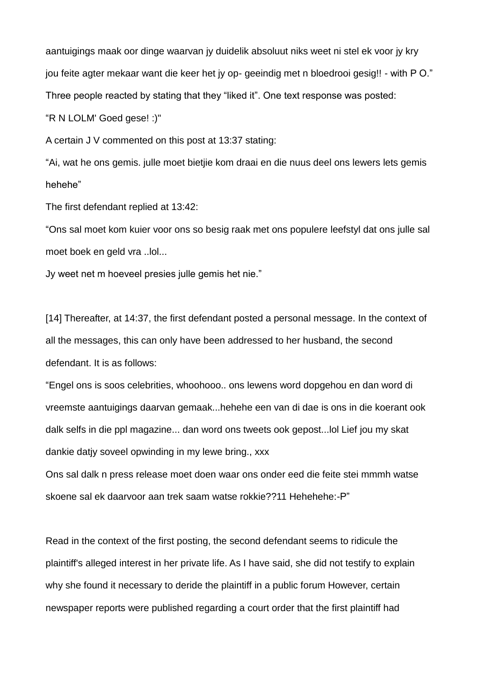aantuigings maak oor dinge waarvan jy duidelik absoluut niks weet ni stel ek voor jy kry jou feite agter mekaar want die keer het jy op- geeindig met n bloedrooi gesig!! - with P O." Three people reacted by stating that they "liked it". One text response was posted:

"R N LOLM' Goed gese! :)"

A certain J V commented on this post at 13:37 stating:

"Ai, wat he ons gemis. julle moet bietjie kom draai en die nuus deel ons lewers lets gemis hehe"

The first defendant replied at 13:42:

"Ons sal moet kom kuier voor ons so besig raak met ons populere leefstyl dat ons julle sal moet boek en geld vra ..lol...

Jy weet net m hoeveel presies julle gemis het nie."

[14] Thereafter, at 14:37, the first defendant posted a personal message. In the context of all the messages, this can only have been addressed to her husband, the second defendant. It is as follows:

"Engel ons is soos celebrities, whoohooo.. ons lewens word dopgehou en dan word di vreemste aantuigings daarvan gemaak...hehehe een van di dae is ons in die koerant ook dalk selfs in die ppl magazine... dan word ons tweets ook gepost...lol Lief jou my skat dankie datjy soveel opwinding in my lewe bring., xxx

Ons sal dalk n press release moet doen waar ons onder eed die feite stei mmmh watse skoene sal ek daarvoor aan trek saam watse rokkie??11 Hehehehe:-P"

Read in the context of the first posting, the second defendant seems to ridicule the plaintiff's alleged interest in her private life. As I have said, she did not testify to explain why she found it necessary to deride the plaintiff in a public forum However, certain newspaper reports were published regarding a court order that the first plaintiff had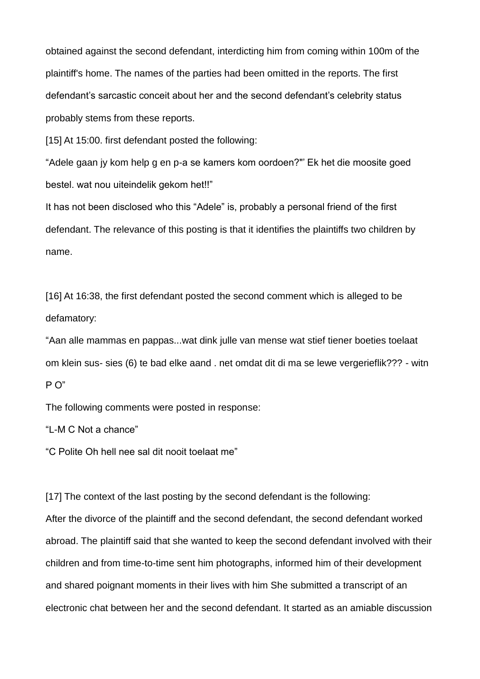obtained against the second defendant, interdicting him from coming within 100m of the plaintiff's home. The names of the parties had been omitted in the reports. The first defendant's sarcastic conceit about her and the second defendant's celebrity status probably stems from these reports.

[15] At 15:00. first defendant posted the following:

"Adele gaan jy kom help g en p-a se kamers kom oordoen?"' Ek het die moosite goed bestel. wat nou uiteindelik gekom het!!"

It has not been disclosed who this "Adele" is, probably a personal friend of the first defendant. The relevance of this posting is that it identifies the plaintiffs two children by name.

[16] At 16:38, the first defendant posted the second comment which is alleged to be defamatory:

"Aan alle mammas en pappas...wat dink julle van mense wat stief tiener boeties toelaat om klein sus- sies (6) te bad elke aand . net omdat dit di ma se lewe vergerieflik??? - witn P O"

The following comments were posted in response:

"L-M C Not a chance"

"C Polite Oh hell nee sal dit nooit toelaat me"

[17] The context of the last posting by the second defendant is the following:

After the divorce of the plaintiff and the second defendant, the second defendant worked abroad. The plaintiff said that she wanted to keep the second defendant involved with their children and from time-to-time sent him photographs, informed him of their development and shared poignant moments in their lives with him She submitted a transcript of an electronic chat between her and the second defendant. It started as an amiable discussion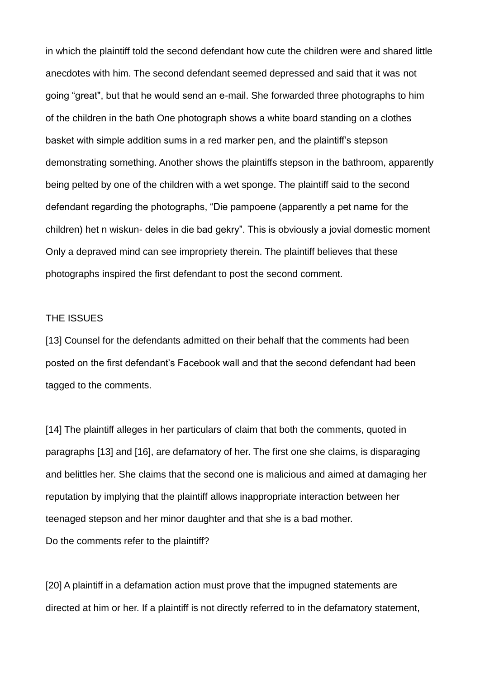in which the plaintiff told the second defendant how cute the children were and shared little anecdotes with him. The second defendant seemed depressed and said that it was not going "great", but that he would send an e-mail. She forwarded three photographs to him of the children in the bath One photograph shows a white board standing on a clothes basket with simple addition sums in a red marker pen, and the plaintiff's stepson demonstrating something. Another shows the plaintiffs stepson in the bathroom, apparently being pelted by one of the children with a wet sponge. The plaintiff said to the second defendant regarding the photographs, "Die pampoene (apparently a pet name for the children) het n wiskun- deles in die bad gekry". This is obviously a jovial domestic moment Only a depraved mind can see impropriety therein. The plaintiff believes that these photographs inspired the first defendant to post the second comment.

#### THE ISSUES

[13] Counsel for the defendants admitted on their behalf that the comments had been posted on the first defendant's Facebook wall and that the second defendant had been tagged to the comments.

[14] The plaintiff alleges in her particulars of claim that both the comments, quoted in paragraphs [13] and [16], are defamatory of her. The first one she claims, is disparaging and belittles her. She claims that the second one is malicious and aimed at damaging her reputation by implying that the plaintiff allows inappropriate interaction between her teenaged stepson and her minor daughter and that she is a bad mother. Do the comments refer to the plaintiff?

[20] A plaintiff in a defamation action must prove that the impugned statements are directed at him or her. If a plaintiff is not directly referred to in the defamatory statement,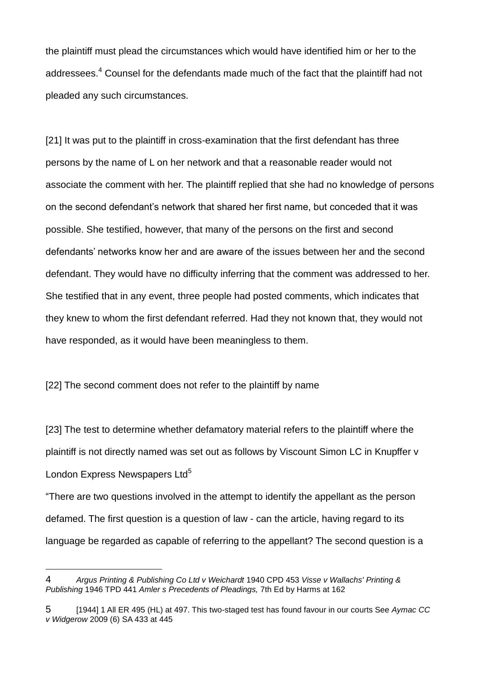the plaintiff must plead the circumstances which would have identified him or her to the addressees.<sup>4</sup> Counsel for the defendants made much of the fact that the plaintiff had not pleaded any such circumstances.

[21] It was put to the plaintiff in cross-examination that the first defendant has three persons by the name of L on her network and that a reasonable reader would not associate the comment with her. The plaintiff replied that she had no knowledge of persons on the second defendant's network that shared her first name, but conceded that it was possible. She testified, however, that many of the persons on the first and second defendants' networks know her and are aware of the issues between her and the second defendant. They would have no difficulty inferring that the comment was addressed to her. She testified that in any event, three people had posted comments, which indicates that they knew to whom the first defendant referred. Had they not known that, they would not have responded, as it would have been meaningless to them.

[22] The second comment does not refer to the plaintiff by name

1

[23] The test to determine whether defamatory material refers to the plaintiff where the plaintiff is not directly named was set out as follows by Viscount Simon LC in Knupffer v London Express Newspapers Ltd<sup>5</sup>

"There are two questions involved in the attempt to identify the appellant as the person defamed. The first question is a question of law - can the article, having regard to its language be regarded as capable of referring to the appellant? The second question is a

<sup>4</sup> *Argus Printing & Publishing Co Ltd v Weichardt* 1940 CPD 453 *Visse v Wallachs' Printing & Publishing* 1946 TPD 441 *Amler s Precedents of Pleadings,* 7th Ed by Harms at 162

<sup>5</sup> [1944] 1 All ER 495 (HL) at 497. This two-staged test has found favour in our courts See *Aymac CC v Widgerow* 2009 (6) SA 433 at 445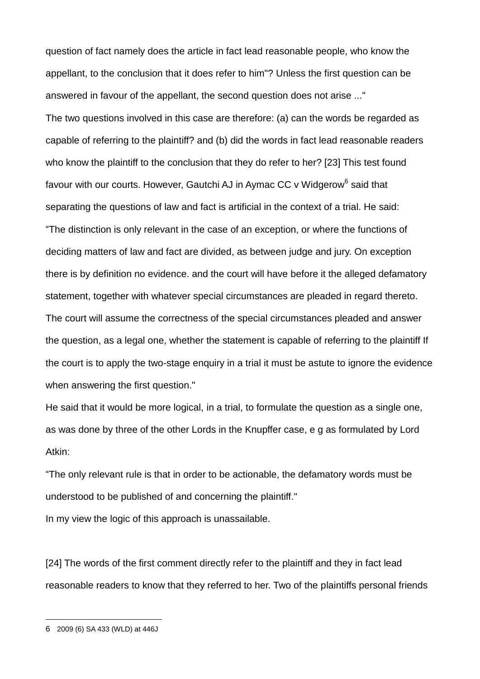question of fact namely does the article in fact lead reasonable people, who know the appellant, to the conclusion that it does refer to him"? Unless the first question can be answered in favour of the appellant, the second question does not arise ..." The two questions involved in this case are therefore: (a) can the words be regarded as capable of referring to the plaintiff? and (b) did the words in fact lead reasonable readers who know the plaintiff to the conclusion that they do refer to her? [23] This test found favour with our courts. However, Gautchi AJ in Aymac CC v Widgerow<sup>6</sup> said that separating the questions of law and fact is artificial in the context of a trial. He said: "The distinction is only relevant in the case of an exception, or where the functions of deciding matters of law and fact are divided, as between judge and jury. On exception there is by definition no evidence. and the court will have before it the alleged defamatory statement, together with whatever special circumstances are pleaded in regard thereto. The court will assume the correctness of the special circumstances pleaded and answer the question, as a legal one, whether the statement is capable of referring to the plaintiff If the court is to apply the two-stage enquiry in a trial it must be astute to ignore the evidence when answering the first question."

He said that it would be more logical, in a trial, to formulate the question as a single one, as was done by three of the other Lords in the Knupffer case, e g as formulated by Lord Atkin:

"The only relevant rule is that in order to be actionable, the defamatory words must be understood to be published of and concerning the plaintiff."

In my view the logic of this approach is unassailable.

[24] The words of the first comment directly refer to the plaintiff and they in fact lead reasonable readers to know that they referred to her. Two of the plaintiffs personal friends

1

<sup>6</sup> 2009 (6) SA 433 (WLD) at 446J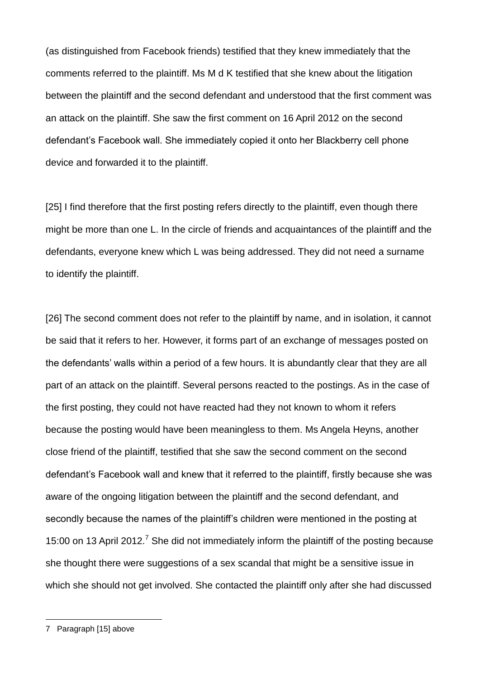(as distinguished from Facebook friends) testified that they knew immediately that the comments referred to the plaintiff. Ms M d K testified that she knew about the litigation between the plaintiff and the second defendant and understood that the first comment was an attack on the plaintiff. She saw the first comment on 16 April 2012 on the second defendant's Facebook wall. She immediately copied it onto her Blackberry cell phone device and forwarded it to the plaintiff.

[25] I find therefore that the first posting refers directly to the plaintiff, even though there might be more than one L. In the circle of friends and acquaintances of the plaintiff and the defendants, everyone knew which L was being addressed. They did not need a surname to identify the plaintiff.

[26] The second comment does not refer to the plaintiff by name, and in isolation, it cannot be said that it refers to her. However, it forms part of an exchange of messages posted on the defendants' walls within a period of a few hours. It is abundantly clear that they are all part of an attack on the plaintiff. Several persons reacted to the postings. As in the case of the first posting, they could not have reacted had they not known to whom it refers because the posting would have been meaningless to them. Ms Angela Heyns, another close friend of the plaintiff, testified that she saw the second comment on the second defendant's Facebook wall and knew that it referred to the plaintiff, firstly because she was aware of the ongoing litigation between the plaintiff and the second defendant, and secondly because the names of the plaintiff's children were mentioned in the posting at 15:00 on 13 April 2012.<sup>7</sup> She did not immediately inform the plaintiff of the posting because she thought there were suggestions of a sex scandal that might be a sensitive issue in which she should not get involved. She contacted the plaintiff only after she had discussed

1

<sup>7</sup> Paragraph [15] above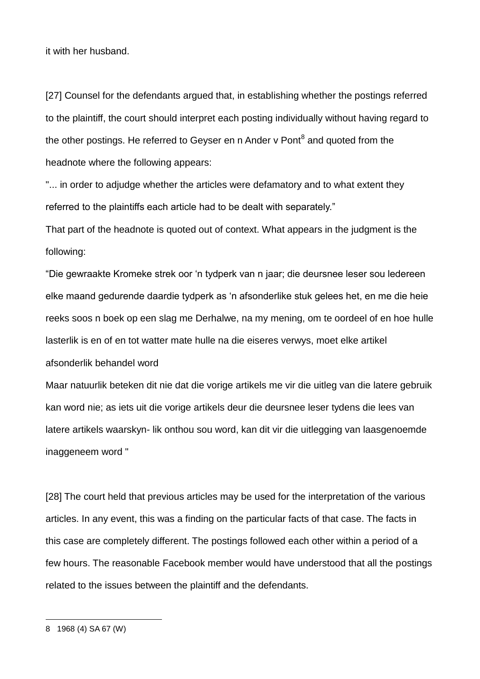it with her husband.

[27] Counsel for the defendants argued that, in establishing whether the postings referred to the plaintiff, the court should interpret each posting individually without having regard to the other postings. He referred to Geyser en n Ander v Pont<sup>8</sup> and quoted from the headnote where the following appears:

"... in order to adjudge whether the articles were defamatory and to what extent they referred to the plaintiffs each article had to be dealt with separately."

That part of the headnote is quoted out of context. What appears in the judgment is the following:

"Die gewraakte Kromeke strek oor 'n tydperk van n jaar; die deursnee leser sou ledereen elke maand gedurende daardie tydperk as 'n afsonderlike stuk gelees het, en me die heie reeks soos n boek op een slag me Derhalwe, na my mening, om te oordeel of en hoe hulle lasterlik is en of en tot watter mate hulle na die eiseres verwys, moet elke artikel afsonderlik behandel word

Maar natuurlik beteken dit nie dat die vorige artikels me vir die uitleg van die latere gebruik kan word nie; as iets uit die vorige artikels deur die deursnee leser tydens die lees van latere artikels waarskyn- lik onthou sou word, kan dit vir die uitlegging van laasgenoemde inaggeneem word "

[28] The court held that previous articles may be used for the interpretation of the various articles. In any event, this was a finding on the particular facts of that case. The facts in this case are completely different. The postings followed each other within a period of a few hours. The reasonable Facebook member would have understood that all the postings related to the issues between the plaintiff and the defendants.

1

<sup>8</sup> 1968 (4) SA 67 (W)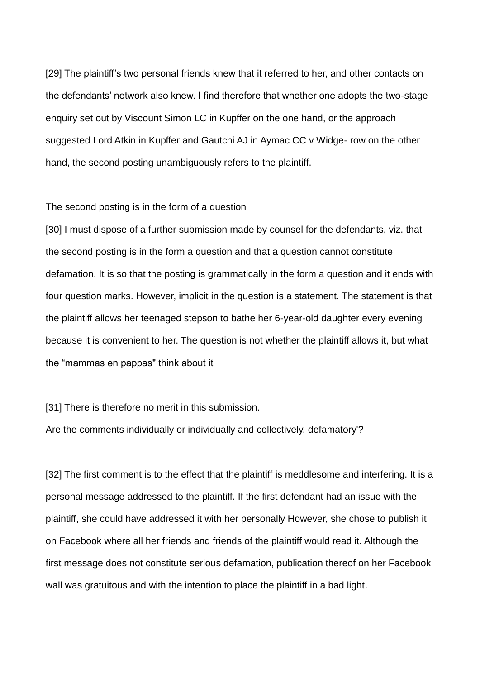[29] The plaintiff's two personal friends knew that it referred to her, and other contacts on the defendants' network also knew. I find therefore that whether one adopts the two-stage enquiry set out by Viscount Simon LC in Kupffer on the one hand, or the approach suggested Lord Atkin in Kupffer and Gautchi AJ in Aymac CC v Widge- row on the other hand, the second posting unambiguously refers to the plaintiff.

#### The second posting is in the form of a question

[30] I must dispose of a further submission made by counsel for the defendants, viz. that the second posting is in the form a question and that a question cannot constitute defamation. It is so that the posting is grammatically in the form a question and it ends with four question marks. However, implicit in the question is a statement. The statement is that the plaintiff allows her teenaged stepson to bathe her 6-year-old daughter every evening because it is convenient to her. The question is not whether the plaintiff allows it, but what the "mammas en pappas" think about it

[31] There is therefore no merit in this submission.

Are the comments individually or individually and collectively, defamatory'?

[32] The first comment is to the effect that the plaintiff is meddlesome and interfering. It is a personal message addressed to the plaintiff. If the first defendant had an issue with the plaintiff, she could have addressed it with her personally However, she chose to publish it on Facebook where all her friends and friends of the plaintiff would read it. Although the first message does not constitute serious defamation, publication thereof on her Facebook wall was gratuitous and with the intention to place the plaintiff in a bad light.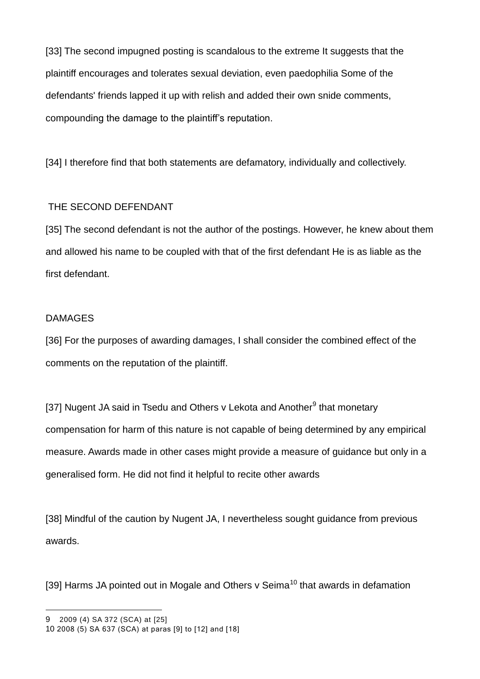[33] The second impugned posting is scandalous to the extreme It suggests that the plaintiff encourages and tolerates sexual deviation, even paedophilia Some of the defendants' friends lapped it up with relish and added their own snide comments, compounding the damage to the plaintiff's reputation.

[34] I therefore find that both statements are defamatory, individually and collectively.

# THE SECOND DEFENDANT

[35] The second defendant is not the author of the postings. However, he knew about them and allowed his name to be coupled with that of the first defendant He is as liable as the first defendant.

# DAMAGES

[36] For the purposes of awarding damages, I shall consider the combined effect of the comments on the reputation of the plaintiff.

[37] Nugent JA said in Tsedu and Others v Lekota and Another<sup>9</sup> that monetary compensation for harm of this nature is not capable of being determined by any empirical measure. Awards made in other cases might provide a measure of guidance but only in a generalised form. He did not find it helpful to recite other awards

[38] Mindful of the caution by Nugent JA, I nevertheless sought guidance from previous awards.

[39] Harms JA pointed out in Mogale and Others  $v$  Seima<sup>10</sup> that awards in defamation

<u>.</u>

<sup>9</sup> 2009 (4) SA 372 (SCA) at [25]

<sup>10</sup> 2008 (5) SA 637 (SCA) at paras [9] to [12] and [18]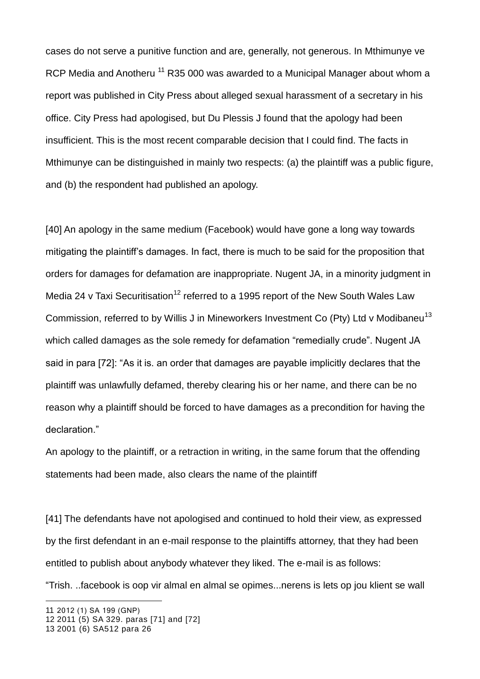cases do not serve a punitive function and are, generally, not generous. In Mthimunye ve RCP Media and Anotheru<sup>11</sup> R35 000 was awarded to a Municipal Manager about whom a report was published in City Press about alleged sexual harassment of a secretary in his office. City Press had apologised, but Du Plessis J found that the apology had been insufficient. This is the most recent comparable decision that I could find. The facts in Mthimunye can be distinguished in mainly two respects: (a) the plaintiff was a public figure, and (b) the respondent had published an apology.

[40] An apology in the same medium (Facebook) would have gone a long way towards mitigating the plaintiff's damages. In fact, there is much to be said for the proposition that orders for damages for defamation are inappropriate. Nugent JA, in a minority judgment in Media 24 v Taxi Securitisation<sup>12</sup> referred to a 1995 report of the New South Wales Law Commission, referred to by Willis J in Mineworkers Investment Co (Pty) Ltd v Modibaneu<sup>13</sup> which called damages as the sole remedy for defamation "remedially crude". Nugent JA said in para [72]: "As it is. an order that damages are payable implicitly declares that the plaintiff was unlawfully defamed, thereby clearing his or her name, and there can be no reason why a plaintiff should be forced to have damages as a precondition for having the declaration."

An apology to the plaintiff, or a retraction in writing, in the same forum that the offending statements had been made, also clears the name of the plaintiff

[41] The defendants have not apologised and continued to hold their view, as expressed by the first defendant in an e-mail response to the plaintiffs attorney, that they had been entitled to publish about anybody whatever they liked. The e-mail is as follows:

"Trish. ..facebook is oop vir almal en almal se opimes...nerens is lets op jou klient se wall

<u>.</u>

<sup>11</sup> 2012 (1) SA 199 (GNP)

<sup>12</sup> 2011 (5) SA 329. paras [71] and [72]

<sup>13</sup> 2001 (6) SA512 para 26